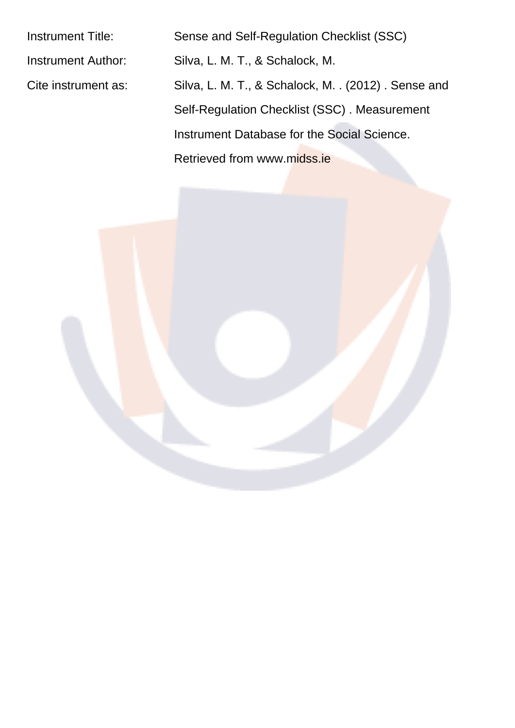Instrument Title: Sense and Self-Regulation Checklist (SSC) Instrument Author: Silva, L. M. T., & Schalock, M. Cite instrument as: Silva, L. M. T., & Schalock, M. . (2012). Sense and Self-Regulation Checklist (SSC) . Measurement Instrument Database for the Social Science. Retrieved from www.midss.ie

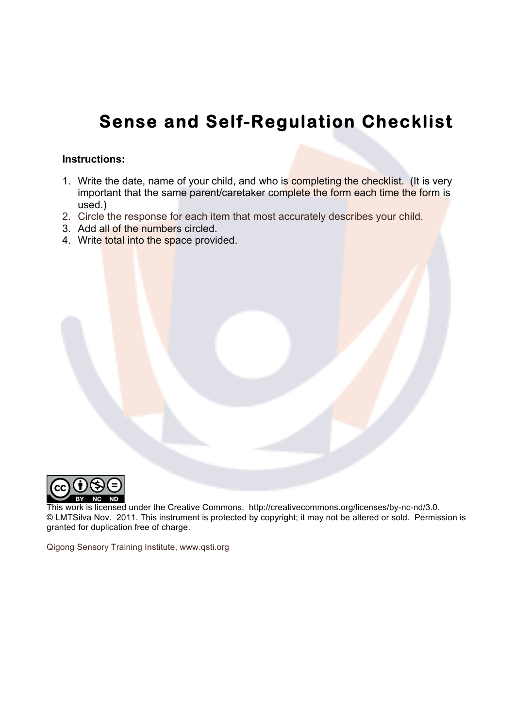## **Sense and Self-Regulation Checklist**

## **Instructions:**

- 1. Write the date, name of your child, and who is completing the checklist. (It is very important that the same parent/caretaker complete the form each time the form is used.)
- 2. Circle the response for each item that most accurately describes your child.
- 3. Add all of the numbers circled.
- 4. Write total into the space provided.



 This work is licensed under the Creative Commons, http://creativecommons.org/licenses/by-nc-nd/3.0. © LMTSilva Nov. 2011. This instrument is protected by copyright; it may not be altered or sold. Permission is granted for duplication free of charge.

Qigong Sensory Training Institute, www.qsti.org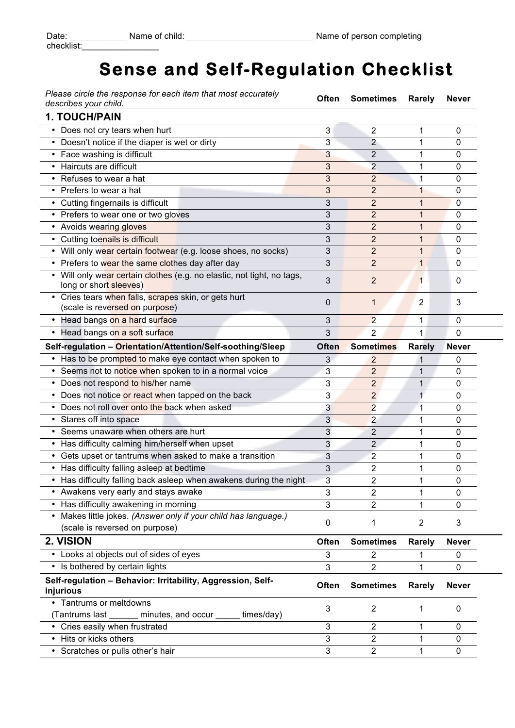## **Sense and Self-Regulation Checklist**

*Please circle the response for each item that most accurately describes your child.* **Often Sometimes Rarely Never**

÷

| ucschoes your crinu.                                                                              |              |                         |                |              |
|---------------------------------------------------------------------------------------------------|--------------|-------------------------|----------------|--------------|
| <b>1. TOUCH/PAIN</b>                                                                              |              |                         |                |              |
| • Does not cry tears when hurt                                                                    | 3            | 2                       | 1              | 0            |
| • Doesn't notice if the diaper is wet or dirty                                                    | 3            | 2                       | 1              | 0            |
| • Face washing is difficult                                                                       | 3            | $\overline{2}$          | 1              | 0            |
| • Haircuts are difficult                                                                          | 3            | $\overline{2}$          | 1              | 0            |
| • Refuses to wear a hat                                                                           | 3            | $\overline{2}$          | 1              | 0            |
| • Prefers to wear a hat                                                                           | 3            | $\overline{2}$          | 1              | 0            |
| • Cutting fingernails is difficult                                                                | 3            | $\overline{2}$          | 1              | 0            |
| • Prefers to wear one or two gloves                                                               | 3            | $\overline{2}$          | 1              | 0            |
| • Avoids wearing gloves                                                                           | 3            | $\overline{2}$          | 1              | 0            |
| • Cutting toenails is difficult                                                                   | 3            | 2                       | 1              | 0            |
| • Will only wear certain footwear (e.g. loose shoes, no socks)                                    | 3            | $\overline{2}$          | 1              | 0            |
| • Prefers to wear the same clothes day after day                                                  | 3            | $\overline{2}$          | 1              | 0            |
| • Will only wear certain clothes (e.g. no elastic, not tight, no tags,<br>long or short sleeves)  | 3            | 2                       | 1              | 0            |
| Cries tears when falls, scrapes skin, or gets hurt<br>(scale is reversed on purpose)              | 0            | 1                       | 2              | 3            |
| • Head bangs on a hard surface                                                                    | 3            | $\overline{2}$          | 1              | $\mathbf{0}$ |
| Head bangs on a soft surface<br>٠                                                                 | 3            | 2                       | 1              | 0            |
| Self-regulation - Orientation/Attention/Self-soothing/Sleep                                       | <b>Often</b> | <b>Sometimes</b>        | <b>Rarely</b>  | <b>Never</b> |
| • Has to be prompted to make eye contact when spoken to                                           | 3            | 2                       | 1              | 0            |
| • Seems not to notice when spoken to in a normal voice                                            | 3            | 2                       | 1              | 0            |
| • Does not respond to his/her name                                                                | 3            | $\overline{2}$          | 1              | 0            |
| • Does not notice or react when tapped on the back                                                | 3            | $\overline{a}$          | 1              | 0            |
| • Does not roll over onto the back when asked                                                     | 3            | $\overline{2}$          | 1              | 0            |
| • Stares off into space                                                                           | 3            | $\overline{2}$          | 1              | 0            |
| • Seems unaware when others are hurt                                                              | 3            | $\overline{c}$          | 1              | 0            |
| • Has difficulty calming him/herself when upset                                                   | 3            | 2                       | 1              | 0            |
| • Gets upset or tantrums when asked to make a transition                                          | 3            | $\overline{2}$          | 1              | 0            |
| • Has difficulty falling asleep at bedtime                                                        | 3            | $\overline{2}$          | 1              | 0            |
| • Has difficulty falling back asleep when awakens during the night                                | 3            | 2                       | 1              | 0            |
| • Awakens very early and stays awake                                                              | 3            | $\overline{\mathbf{c}}$ | 1              | 0            |
| • Has difficulty awakening in morning                                                             | 3            | 2                       | 1              | 0            |
| • Makes little jokes. (Answer only if your child has language.)<br>(scale is reversed on purpose) | 0            | 1                       | $\overline{2}$ | 3            |
| 2. VISION                                                                                         | <b>Often</b> | <b>Sometimes</b>        | <b>Rarely</b>  | <b>Never</b> |
| • Looks at objects out of sides of eyes                                                           | 3            | 2                       | 1              | 0            |
| • Is bothered by certain lights                                                                   | 3            | 2                       | 1              | 0            |
|                                                                                                   |              |                         |                |              |
| Self-regulation - Behavior: Irritability, Aggression, Self-<br>injurious                          | Often        | <b>Sometimes</b>        | <b>Rarely</b>  | <b>Never</b> |
| • Tantrums or meltdowns                                                                           | 3            | 2                       | 1              | 0            |
| (Tantrums last _______ minutes, and occur _____ times/day)                                        |              |                         |                |              |
| • Cries easily when frustrated                                                                    | 3            | $\overline{2}$          | 1              | 0            |
| • Hits or kicks others                                                                            | 3            | $\overline{2}$          | 1              | 0            |
| • Scratches or pulls other's hair                                                                 | 3            | $\overline{2}$          | 1              | 0            |